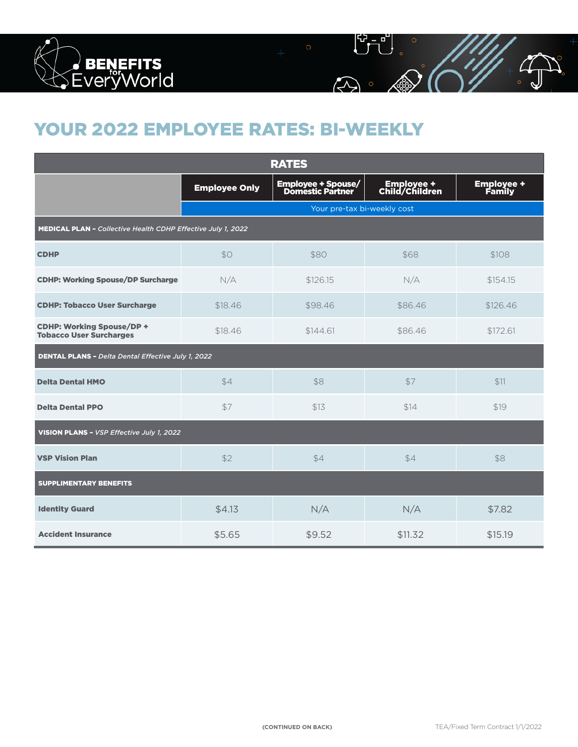

## YOUR 2022 EMPLOYEE RATES: BI-WEEKLY

| <b>RATES</b>                                                       |                             |                                        |                              |                             |  |  |  |  |  |
|--------------------------------------------------------------------|-----------------------------|----------------------------------------|------------------------------|-----------------------------|--|--|--|--|--|
|                                                                    | <b>Employee Only</b>        | Employee + Spouse/<br>Domestic Partner | Employee +<br>Child/Children | <b>Employee +</b><br>Family |  |  |  |  |  |
|                                                                    | Your pre-tax bi-weekly cost |                                        |                              |                             |  |  |  |  |  |
| MEDICAL PLAN - Collective Health CDHP Effective July 1, 2022       |                             |                                        |                              |                             |  |  |  |  |  |
| <b>CDHP</b>                                                        | \$0                         | \$80                                   | \$68                         | \$108                       |  |  |  |  |  |
| <b>CDHP: Working Spouse/DP Surcharge</b>                           | N/A                         | \$126.15                               | N/A                          | \$154.15                    |  |  |  |  |  |
| <b>CDHP: Tobacco User Surcharge</b>                                | \$18.46                     | \$98.46                                | \$86.46                      | \$126.46                    |  |  |  |  |  |
| <b>CDHP: Working Spouse/DP +</b><br><b>Tobacco User Surcharges</b> | \$18.46                     | \$144.61                               | \$86.46                      | \$172.61                    |  |  |  |  |  |
| <b>DENTAL PLANS - Delta Dental Effective July 1, 2022</b>          |                             |                                        |                              |                             |  |  |  |  |  |
| <b>Delta Dental HMO</b>                                            | \$4                         | \$8                                    | \$7                          | \$11                        |  |  |  |  |  |
| <b>Delta Dental PPO</b>                                            | \$7                         | \$13                                   | \$14                         | \$19                        |  |  |  |  |  |
| VISION PLANS - VSP Effective July 1, 2022                          |                             |                                        |                              |                             |  |  |  |  |  |
| <b>VSP Vision Plan</b>                                             | \$2                         | \$4                                    | \$4                          | \$8                         |  |  |  |  |  |
| <b>SUPPLIMENTARY BENEFITS</b>                                      |                             |                                        |                              |                             |  |  |  |  |  |
| <b>Identity Guard</b>                                              | \$4.13                      | N/A                                    | N/A                          | \$7.82                      |  |  |  |  |  |
| <b>Accident Insurance</b>                                          | \$5.65                      | \$9.52                                 | \$11.32                      | \$15.19                     |  |  |  |  |  |

 $\overline{\mathcal{L}}$